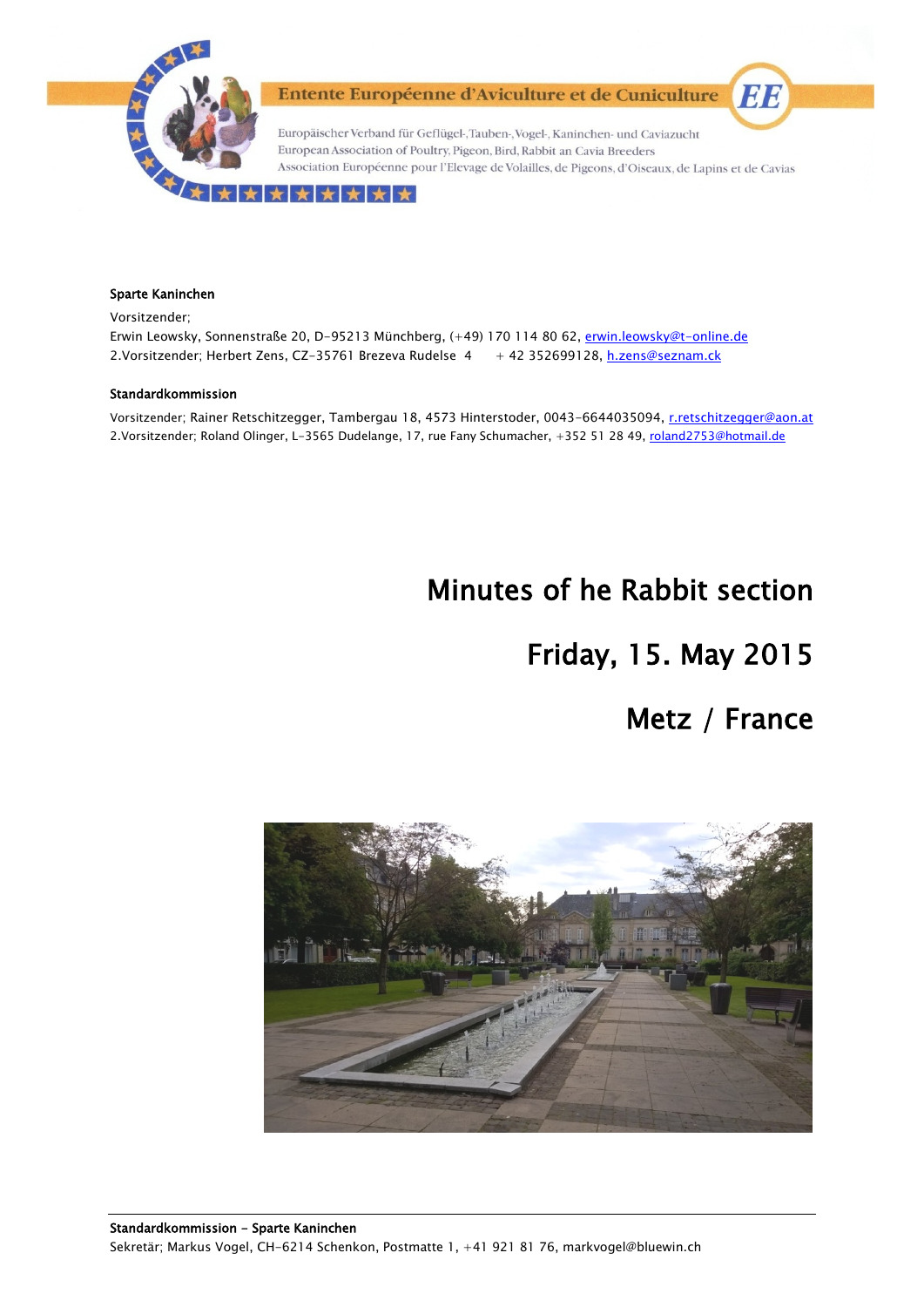

Entente Européenne d'Aviculture et de Cuniculture

Europäischer Verband für Geflügel-, Tauben-, Vogel-, Kaninchen- und Caviazucht European Association of Poultry, Pigeon, Bird, Rabbit an Cavia Breeders Association Européenne pour l'Elevage de Volailles, de Pigeons, d'Oiseaux, de Lapins et de Cavias

#### ★★★★★★

#### Sparte Kaninchen

Vorsitzender;

Erwin Leowsky, Sonnenstraße 20, D-95213 Münchberg, (+49) 170 114 80 62, erwin.leowsky@t-online.de 2.Vorsitzender; Herbert Zens, CZ-35761 Brezeva Rudelse 4 + 42 352699128, h.zens@seznam.ck

#### Standardkommission

Vorsitzender; Rainer Retschitzegger, Tambergau 18, 4573 Hinterstoder, 0043-6644035094, r.retschitzegger@aon.at 2.Vorsitzender; Roland Olinger, L-3565 Dudelange, 17, rue Fany Schumacher, +352 51 28 49, roland2753@hotmail.de

# Minutes of he Rabbit section

# Friday, 15. May 2015

# Metz / France

EE

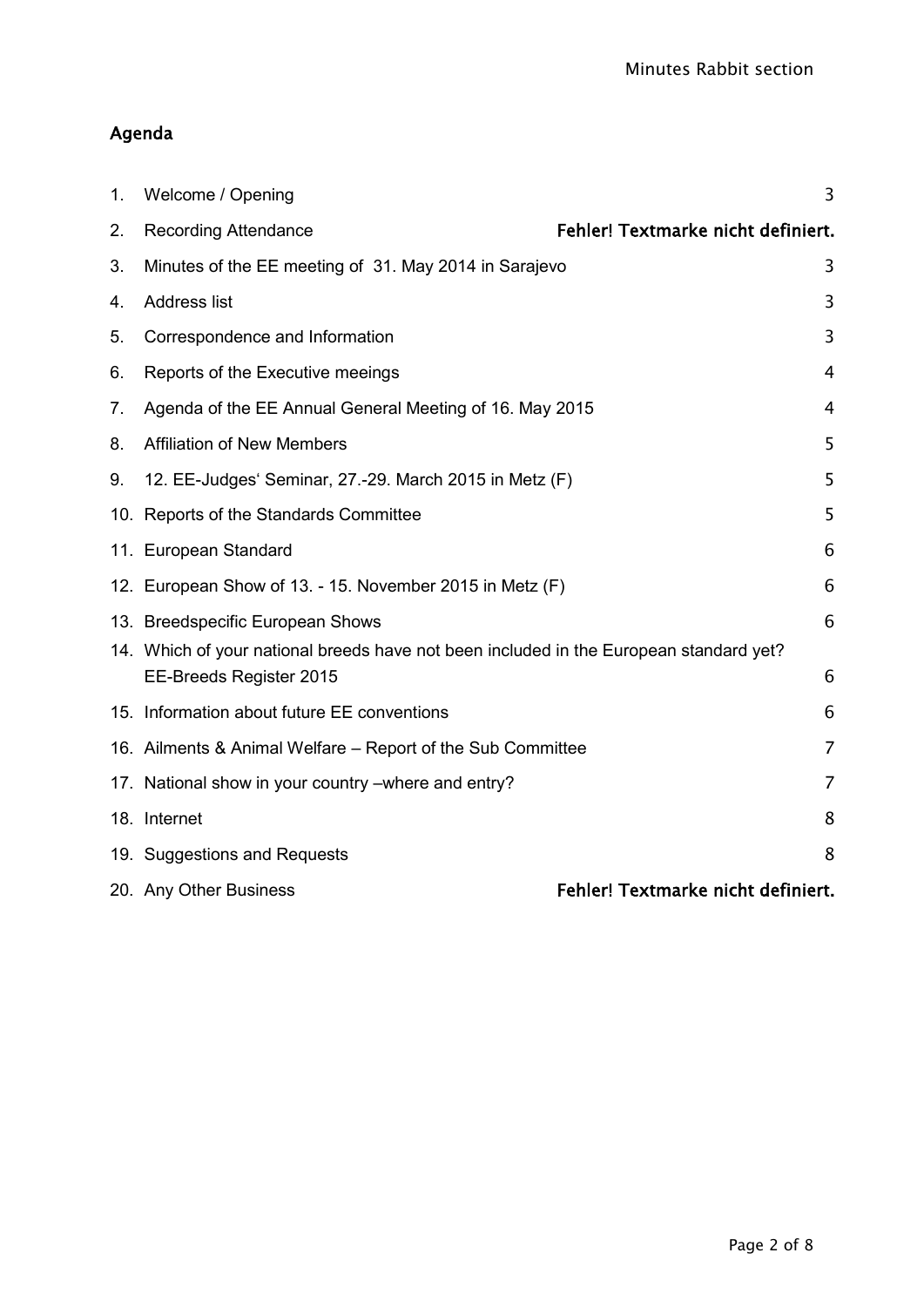# Agenda

| 1. | Welcome / Opening                                                                                                 | 3              |
|----|-------------------------------------------------------------------------------------------------------------------|----------------|
| 2. | Fehler! Textmarke nicht definiert.<br><b>Recording Attendance</b>                                                 |                |
| 3. | Minutes of the EE meeting of 31. May 2014 in Sarajevo                                                             | 3              |
| 4. | <b>Address list</b>                                                                                               | 3              |
| 5. | Correspondence and Information                                                                                    | 3              |
| 6. | Reports of the Executive meeings                                                                                  | 4              |
| 7. | Agenda of the EE Annual General Meeting of 16. May 2015                                                           | 4              |
| 8. | <b>Affiliation of New Members</b>                                                                                 | 5              |
| 9. | 12. EE-Judges' Seminar, 27.-29. March 2015 in Metz (F)                                                            | 5              |
|    | 10. Reports of the Standards Committee                                                                            | 5              |
|    | 11. European Standard                                                                                             | 6              |
|    | 12. European Show of 13. - 15. November 2015 in Metz (F)                                                          | 6              |
|    | 13. Breedspecific European Shows                                                                                  | 6              |
|    | 14. Which of your national breeds have not been included in the European standard yet?<br>EE-Breeds Register 2015 | 6              |
|    | 15. Information about future EE conventions                                                                       | 6              |
|    | 16. Ailments & Animal Welfare – Report of the Sub Committee                                                       | $\overline{7}$ |
|    | 17. National show in your country – where and entry?                                                              | 7              |
|    | 18. Internet                                                                                                      | 8              |
|    | 19. Suggestions and Requests                                                                                      | 8              |
|    | Fehler! Textmarke nicht definiert.<br>20. Any Other Business                                                      |                |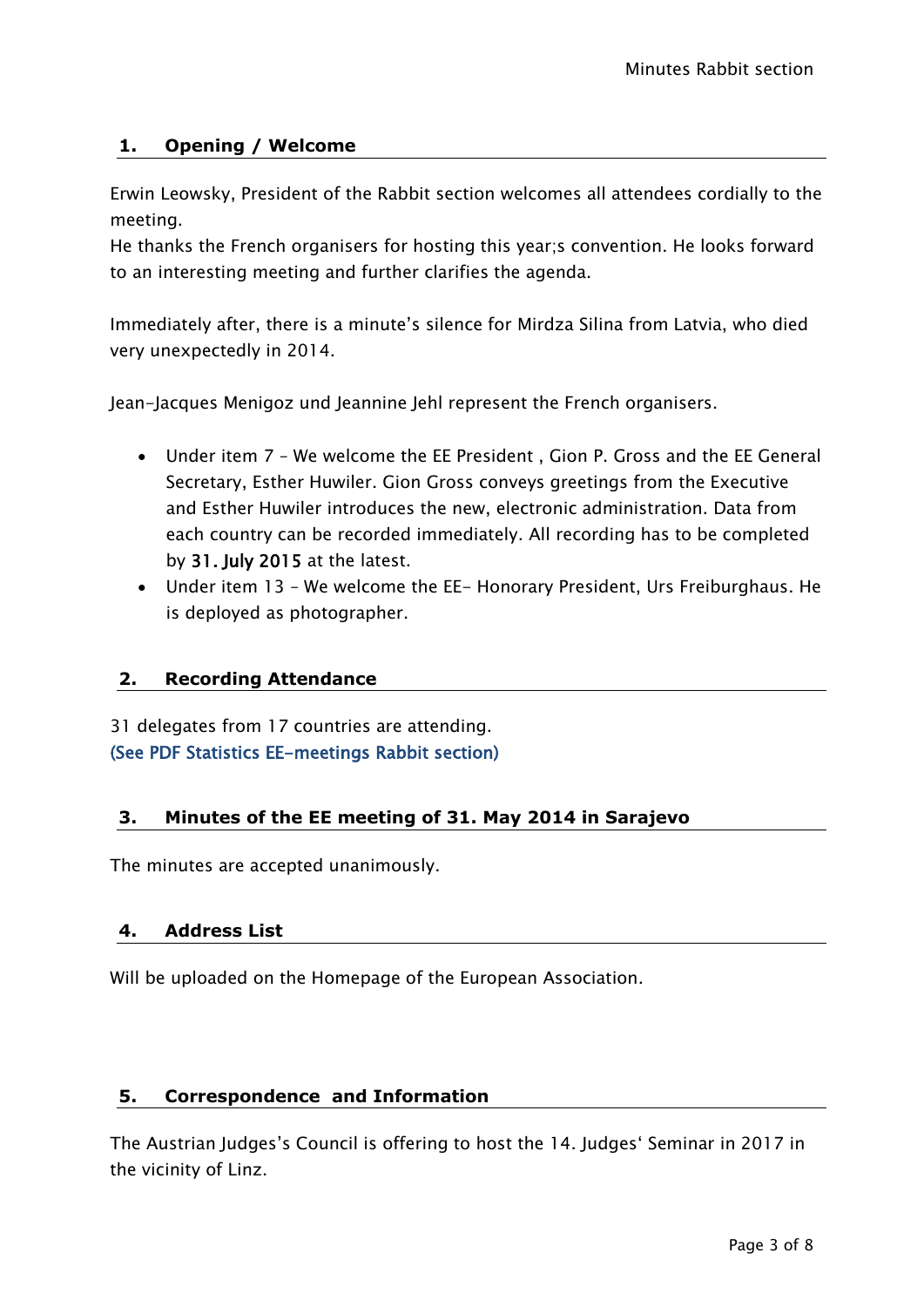# <span id="page-2-0"></span>**1. Opening / Welcome**

Erwin Leowsky, President of the Rabbit section welcomes all attendees cordially to the meeting.

He thanks the French organisers for hosting this year;s convention. He looks forward to an interesting meeting and further clarifies the agenda.

Immediately after, there is a minute's silence for Mirdza Silina from Latvia, who died very unexpectedly in 2014.

Jean-Jacques Menigoz und Jeannine Jehl represent the French organisers.

- Under item 7 We welcome the EE President , Gion P. Gross and the EE General Secretary, Esther Huwiler. Gion Gross conveys greetings from the Executive and Esther Huwiler introduces the new, electronic administration. Data from each country can be recorded immediately. All recording has to be completed by 31. July 2015 at the latest.
- Under item 13 We welcome the EE- Honorary President, Urs Freiburghaus. He is deployed as photographer.

# **2. Recording Attendance**

31 delegates from 17 countries are attending. (See PDF Statistics EE-meetings Rabbit section)

### <span id="page-2-1"></span>**3. Minutes of the EE meeting of 31. May 2014 in Sarajevo**

The minutes are accepted unanimously.

### <span id="page-2-2"></span>**4. Address List**

Will be uploaded on the Homepage of the European Association.

### <span id="page-2-3"></span>**5. Correspondence and Information**

The Austrian Judges's Council is offering to host the 14. Judges' Seminar in 2017 in the vicinity of Linz.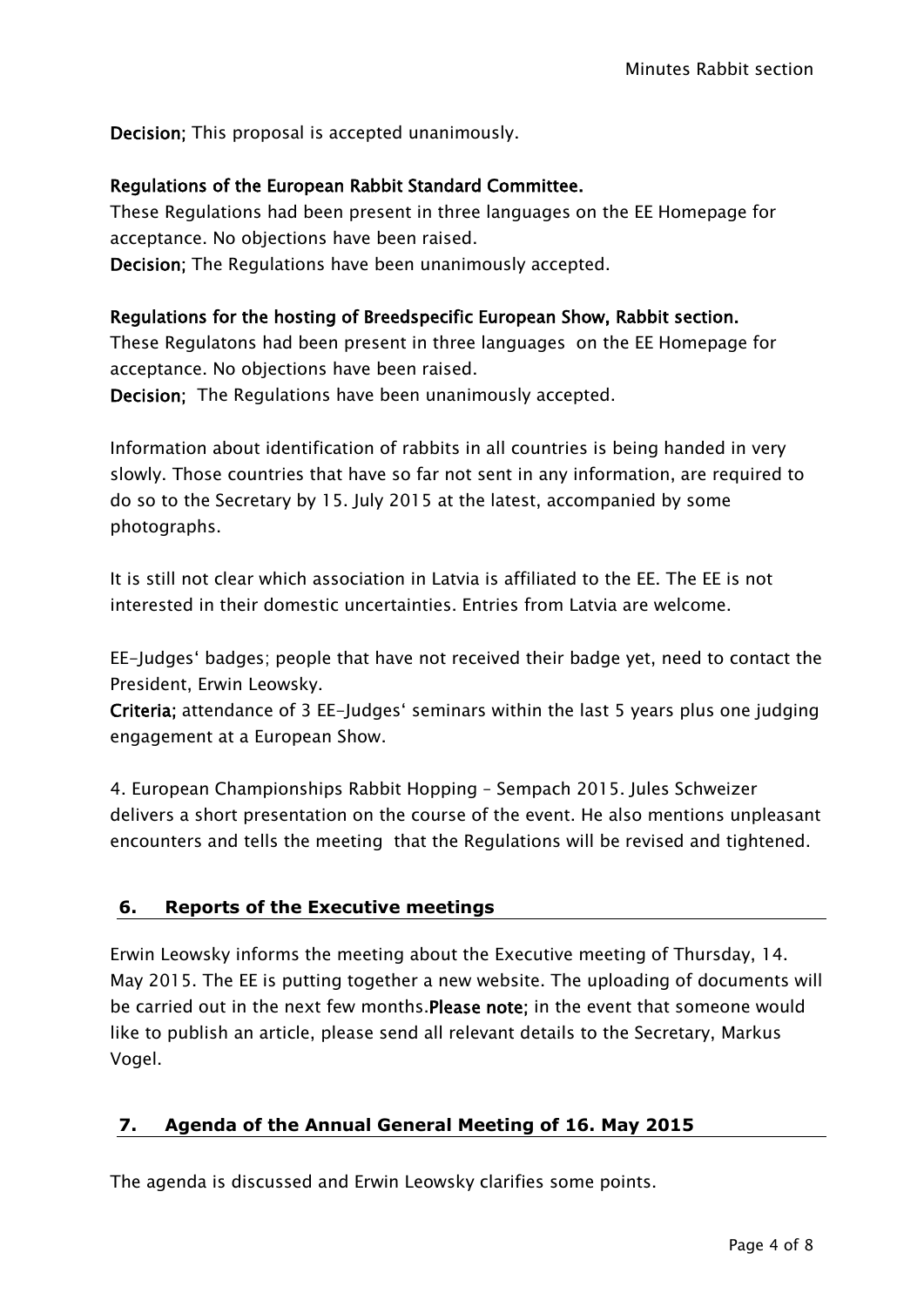Decision; This proposal is accepted unanimously.

# Regulations of the European Rabbit Standard Committee.

These Regulations had been present in three languages on the EE Homepage for acceptance. No objections have been raised. Decision; The Regulations have been unanimously accepted.

# Regulations for the hosting of Breedspecific European Show, Rabbit section.

These Regulatons had been present in three languages on the EE Homepage for acceptance. No objections have been raised.

Decision; The Regulations have been unanimously accepted.

Information about identification of rabbits in all countries is being handed in very slowly. Those countries that have so far not sent in any information, are required to do so to the Secretary by 15. July 2015 at the latest, accompanied by some photographs.

It is still not clear which association in Latvia is affiliated to the EE. The EE is not interested in their domestic uncertainties. Entries from Latvia are welcome.

EE-Judges' badges; people that have not received their badge yet, need to contact the President, Erwin Leowsky.

Criteria; attendance of 3 EE-Judges' seminars within the last 5 years plus one judging engagement at a European Show.

4. European Championships Rabbit Hopping – Sempach 2015. Jules Schweizer delivers a short presentation on the course of the event. He also mentions unpleasant encounters and tells the meeting that the Regulations will be revised and tightened.

# <span id="page-3-0"></span>**6. Reports of the Executive meetings**

Erwin Leowsky informs the meeting about the Executive meeting of Thursday, 14. May 2015. The EE is putting together a new website. The uploading of documents will be carried out in the next few months.Please note; in the event that someone would like to publish an article, please send all relevant details to the Secretary, Markus Vogel.

# <span id="page-3-1"></span>**7. Agenda of the Annual General Meeting of 16. May 2015**

The agenda is discussed and Erwin Leowsky clarifies some points.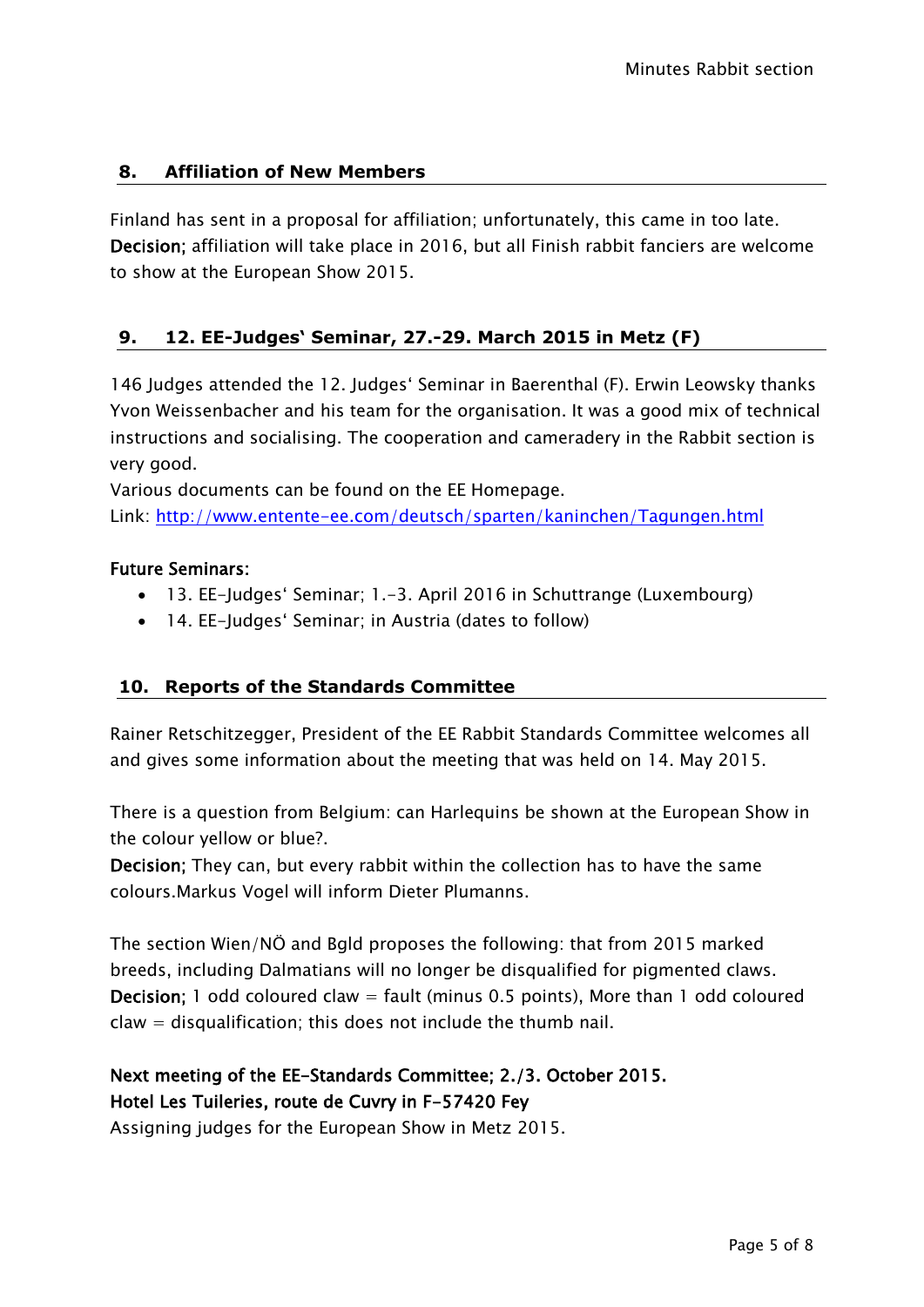# <span id="page-4-0"></span>**8. Affiliation of New Members**

Finland has sent in a proposal for affiliation; unfortunately, this came in too late. Decision; affiliation will take place in 2016, but all Finish rabbit fanciers are welcome to show at the European Show 2015.

# <span id="page-4-1"></span>**9. 12. EE-Judges' Seminar, 27.-29. March 2015 in Metz (F)**

146 Judges attended the 12. Judges' Seminar in Baerenthal (F). Erwin Leowsky thanks Yvon Weissenbacher and his team for the organisation. It was a good mix of technical instructions and socialising. The cooperation and cameradery in the Rabbit section is very good.

Various documents can be found on the EE Homepage.

Link:<http://www.entente-ee.com/deutsch/sparten/kaninchen/Tagungen.html>

#### Future Seminars:

- 13. EE-Judges' Seminar; 1.-3. April 2016 in Schuttrange (Luxembourg)
- 14. EE-Judges' Seminar; in Austria (dates to follow)

# <span id="page-4-2"></span>**10. Reports of the Standards Committee**

Rainer Retschitzegger, President of the EE Rabbit Standards Committee welcomes all and gives some information about the meeting that was held on 14. May 2015.

There is a question from Belgium: can Harlequins be shown at the European Show in the colour yellow or blue?.

Decision; They can, but every rabbit within the collection has to have the same colours.Markus Vogel will inform Dieter Plumanns.

The section Wien/NÖ and Bgld proposes the following: that from 2015 marked breeds, including Dalmatians will no longer be disqualified for pigmented claws. **Decision:** 1 odd coloured claw  $=$  fault (minus 0.5 points). More than 1 odd coloured claw = disqualification; this does not include the thumb nail.

# Next meeting of the EE-Standards Committee; 2./3. October 2015. Hotel Les Tuileries, route de Cuvry in F-57420 Fey

Assigning judges for the European Show in Metz 2015.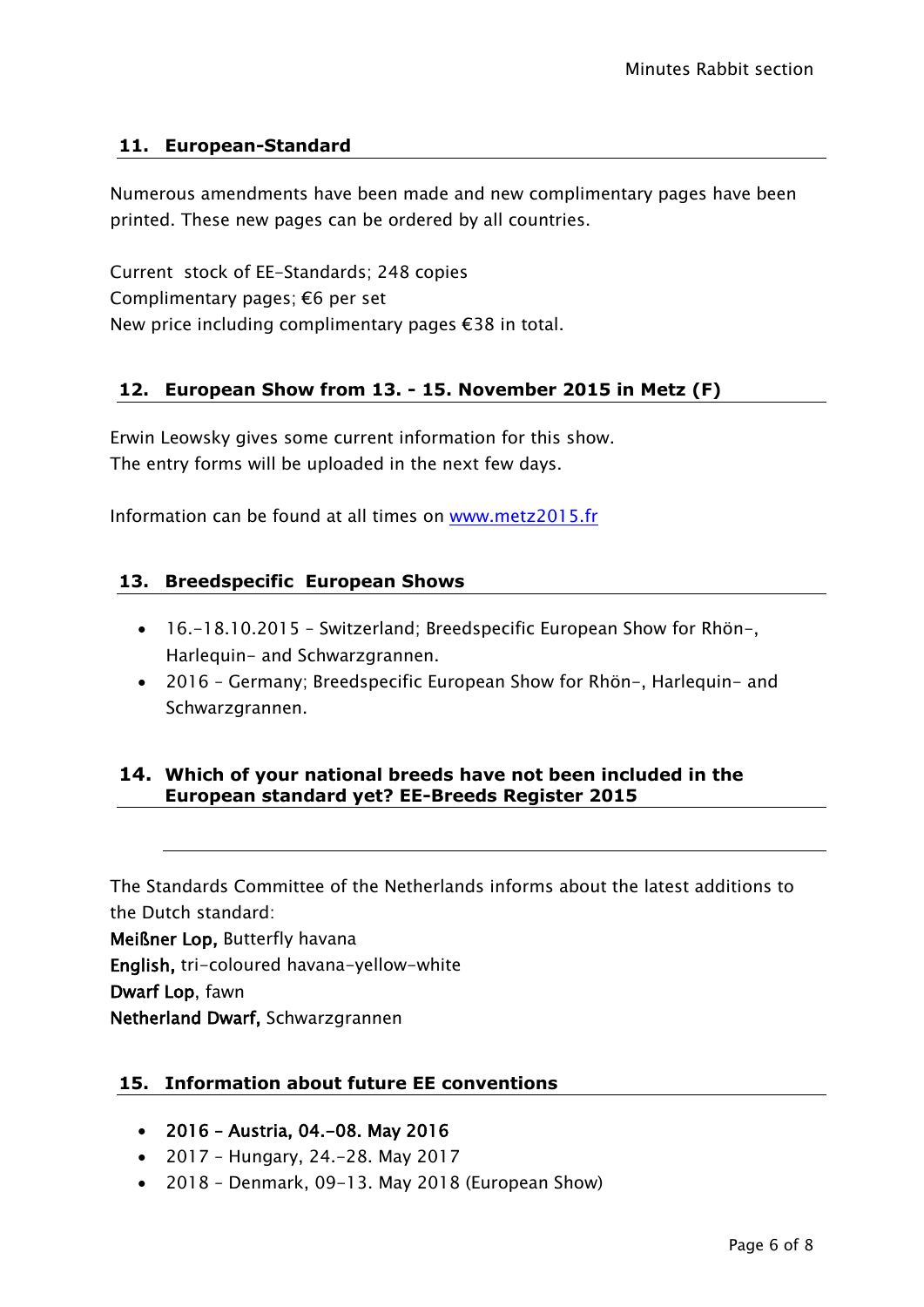# <span id="page-5-0"></span>**11. European-Standard**

Numerous amendments have been made and new complimentary pages have been printed. These new pages can be ordered by all countries.

Current stock of EE-Standards; 248 copies Complimentary pages; €6 per set New price including complimentary pages €38 in total.

# <span id="page-5-1"></span>**12. European Show from 13. - 15. November 2015 in Metz (F)**

Erwin Leowsky gives some current information for this show. The entry forms will be uploaded in the next few days.

Information can be found at all times on [www.metz2015.fr](http://www.metz2015.fr/)

### <span id="page-5-2"></span>**13. Breedspecific European Shows**

- 16.-18.10.2015 Switzerland; Breedspecific European Show for Rhön-, Harlequin- and Schwarzgrannen.
- 2016 Germany; Breedspecific European Show for Rhön-, Harlequin- and Schwarzgrannen.

# <span id="page-5-3"></span>**14. Which of your national breeds have not been included in the European standard yet? EE-Breeds Register 2015**

The Standards Committee of the Netherlands informs about the latest additions to the Dutch standard:

Meißner Lop, Butterfly havana

English, tri-coloured havana-yellow-white

Dwarf Lop, fawn

Netherland Dwarf, Schwarzgrannen

### <span id="page-5-4"></span>**15. Information about future EE conventions**

- 2016 Austria, 04.-08. May 2016
- 2017 Hungary, 24.-28. May 2017
- 2018 Denmark, 09-13. May 2018 (European Show)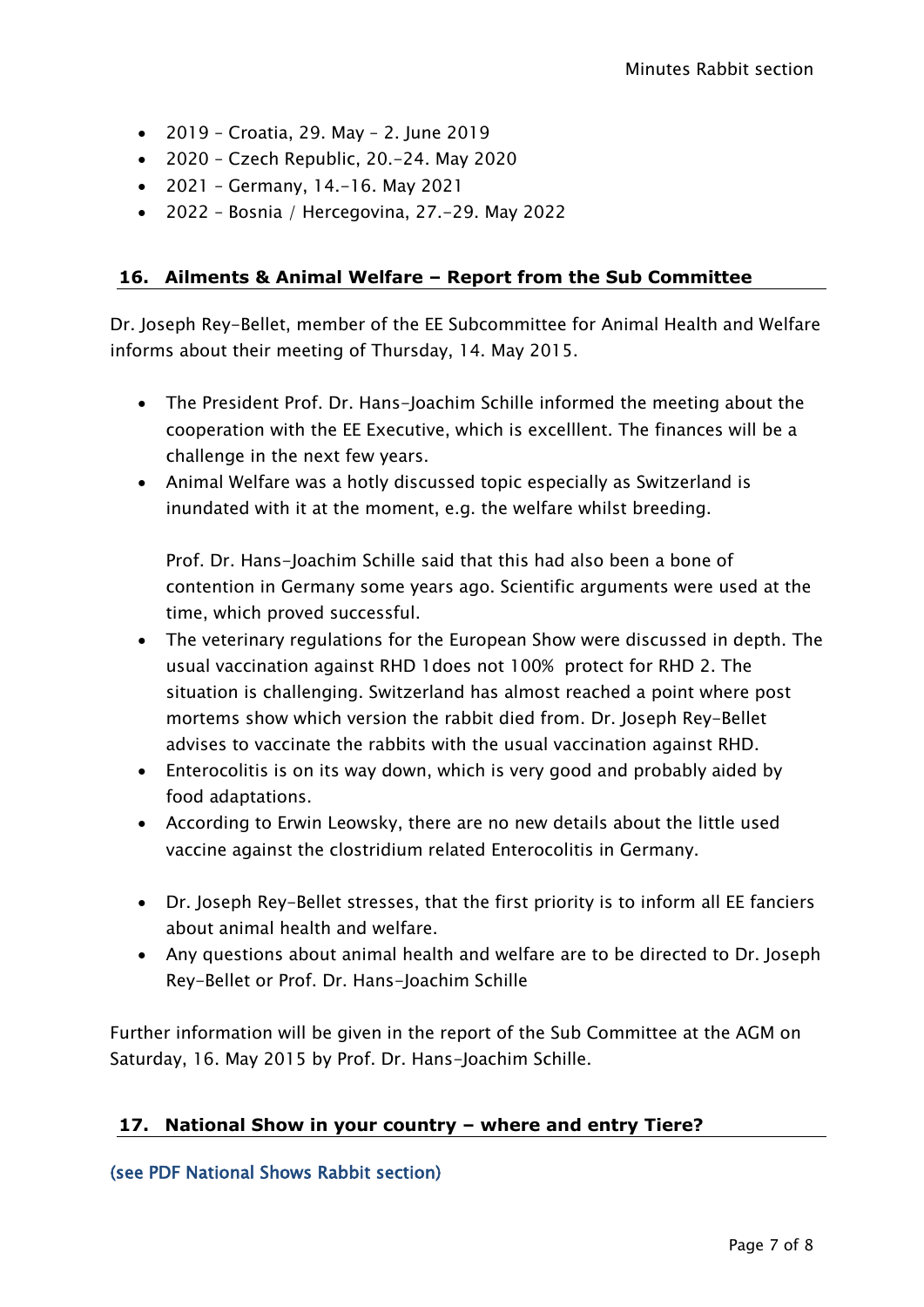- 2019 Croatia, 29. May 2. June 2019
- 2020 Czech Republic, 20.-24. May 2020
- 2021 Germany, 14.-16. May 2021
- 2022 Bosnia / Hercegovina, 27.-29. May 2022

# <span id="page-6-0"></span>**16. Ailments & Animal Welfare – Report from the Sub Committee**

Dr. Joseph Rey-Bellet, member of the EE Subcommittee for Animal Health and Welfare informs about their meeting of Thursday, 14. May 2015.

- The President Prof. Dr. Hans-Joachim Schille informed the meeting about the cooperation with the EE Executive, which is excelllent. The finances will be a challenge in the next few years.
- Animal Welfare was a hotly discussed topic especially as Switzerland is inundated with it at the moment, e.g. the welfare whilst breeding.

Prof. Dr. Hans-Joachim Schille said that this had also been a bone of contention in Germany some years ago. Scientific arguments were used at the time, which proved successful.

- The veterinary regulations for the European Show were discussed in depth. The usual vaccination against RHD 1does not 100% protect for RHD 2. The situation is challenging. Switzerland has almost reached a point where post mortems show which version the rabbit died from. Dr. Joseph Rey-Bellet advises to vaccinate the rabbits with the usual vaccination against RHD.
- Enterocolitis is on its way down, which is very good and probably aided by food adaptations.
- According to Erwin Leowsky, there are no new details about the little used vaccine against the clostridium related Enterocolitis in Germany.
- Dr. Joseph Rey-Bellet stresses, that the first priority is to inform all EE fanciers about animal health and welfare.
- Any questions about animal health and welfare are to be directed to Dr. Joseph Rey-Bellet or Prof. Dr. Hans-Joachim Schille

Further information will be given in the report of the Sub Committee at the AGM on Saturday, 16. May 2015 by Prof. Dr. Hans-Joachim Schille.

# <span id="page-6-1"></span>**17. National Show in your country – where and entry Tiere?**

(see PDF National Shows Rabbit section)